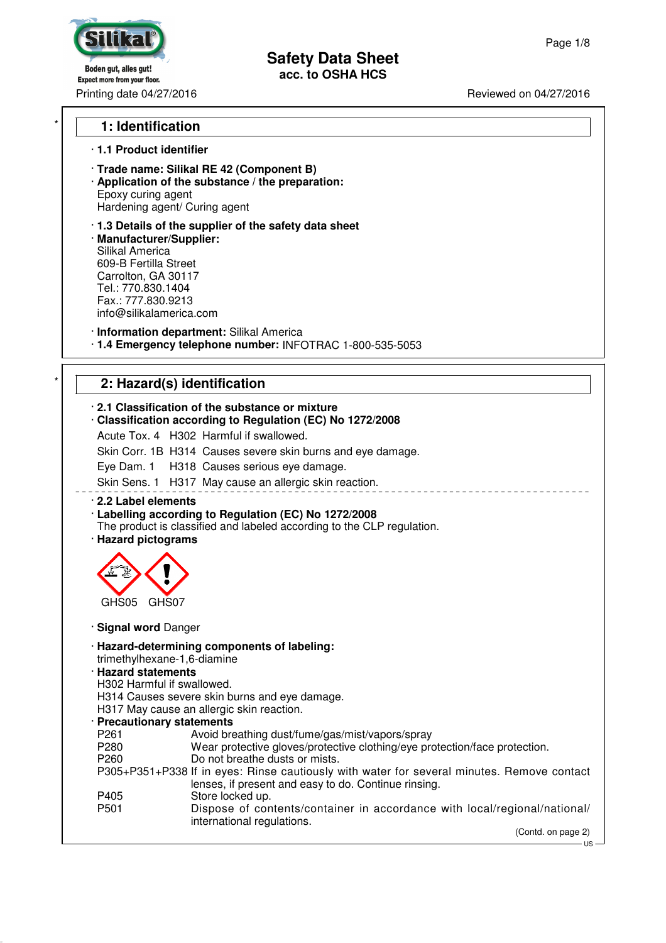SINF

Boden gut, alles gut! Expect more from your floor.

### Printing date 04/27/2016 **Printing date 04/27/2016**

### \* **1: Identification**

### · **1.1 Product identifier**

- · **Trade name: Silikal RE 42 (Component B)**
- · **Application of the substance / the preparation:** Epoxy curing agent Hardening agent/ Curing agent

· **1.3 Details of the supplier of the safety data sheet** · **Manufacturer/Supplier:** Silikal America 609-B Fertilla Street Carrolton, GA 30117 Tel.: 770.830.1404 Fax.: 777.830.9213 info@silikalamerica.com

· **Information department:** Silikal America

· **1.4 Emergency telephone number:** INFOTRAC 1-800-535-5053

# 2: Hazard(s) identification

| . 2.1 Classification of the substance or mixture<br>Classification according to Regulation (EC) No 1272/2008<br>Acute Tox. 4 H302 Harmful if swallowed.                                                                                                                                                                                                                                                                                                                                                                                                                                                                        |
|--------------------------------------------------------------------------------------------------------------------------------------------------------------------------------------------------------------------------------------------------------------------------------------------------------------------------------------------------------------------------------------------------------------------------------------------------------------------------------------------------------------------------------------------------------------------------------------------------------------------------------|
| Skin Corr. 1B H314 Causes severe skin burns and eye damage.                                                                                                                                                                                                                                                                                                                                                                                                                                                                                                                                                                    |
| Eye Dam. 1 H318 Causes serious eye damage.                                                                                                                                                                                                                                                                                                                                                                                                                                                                                                                                                                                     |
| Skin Sens. 1 H317 May cause an allergic skin reaction.                                                                                                                                                                                                                                                                                                                                                                                                                                                                                                                                                                         |
| 2.2 Label elements<br>· Labelling according to Regulation (EC) No 1272/2008<br>The product is classified and labeled according to the CLP regulation.<br>· Hazard pictograms                                                                                                                                                                                                                                                                                                                                                                                                                                                   |
| GHS05<br>GHS07                                                                                                                                                                                                                                                                                                                                                                                                                                                                                                                                                                                                                 |
| · Signal word Danger                                                                                                                                                                                                                                                                                                                                                                                                                                                                                                                                                                                                           |
| · Hazard-determining components of labeling:<br>trimethylhexane-1,6-diamine<br><b>Hazard statements</b><br>H302 Harmful if swallowed.<br>H314 Causes severe skin burns and eye damage.<br>H317 May cause an allergic skin reaction.<br>· Precautionary statements<br>P261<br>Avoid breathing dust/fume/gas/mist/vapors/spray<br>P280<br>Wear protective gloves/protective clothing/eye protection/face protection.<br>Do not breathe dusts or mists.<br>P <sub>260</sub><br>P305+P351+P338 If in eyes: Rinse cautiously with water for several minutes. Remove contact<br>lenses, if present and easy to do. Continue rinsing. |
| Store locked up.<br>P405<br>P <sub>501</sub><br>Dispose of contents/container in accordance with local/regional/national/<br>international regulations.                                                                                                                                                                                                                                                                                                                                                                                                                                                                        |
| (Contd. on page 2)                                                                                                                                                                                                                                                                                                                                                                                                                                                                                                                                                                                                             |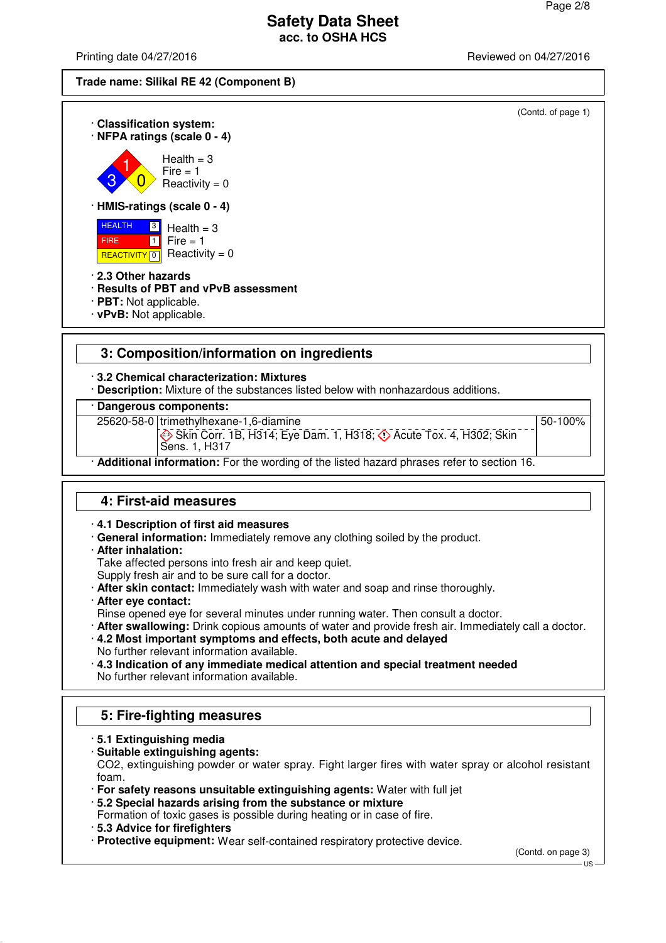50-100%

## **Safety Data Sheet acc. to OSHA HCS**

Printing date 04/27/2016 **Printing date 04/27/2016** Reviewed on 04/27/2016





· **Dangerous components:**

25620-58-0 trimethylhexane-1,6-diamine

**Example 20 Skin Corr. 1B, H314; Eye Dam. 1, H318; 4> Acute Tox. 4, H302; Skin** 

Sens. 1, H317 · **Additional information:** For the wording of the listed hazard phrases refer to section 16.

## **4: First-aid measures**

· **4.1 Description of first aid measures**

- · **General information:** Immediately remove any clothing soiled by the product.
- · **After inhalation:**

Take affected persons into fresh air and keep quiet.

Supply fresh air and to be sure call for a doctor.

- · **After skin contact:** Immediately wash with water and soap and rinse thoroughly.
- · **After eye contact:**

Rinse opened eye for several minutes under running water. Then consult a doctor.

· **After swallowing:** Drink copious amounts of water and provide fresh air. Immediately call a doctor.

· **4.2 Most important symptoms and effects, both acute and delayed** No further relevant information available.

· **4.3 Indication of any immediate medical attention and special treatment needed** No further relevant information available.

## **5: Fire-fighting measures**

- · **5.1 Extinguishing media**
- · **Suitable extinguishing agents:**

CO2, extinguishing powder or water spray. Fight larger fires with water spray or alcohol resistant foam.

· **For safety reasons unsuitable extinguishing agents:** Water with full jet

· **5.2 Special hazards arising from the substance or mixture**

Formation of toxic gases is possible during heating or in case of fire.

· **5.3 Advice for firefighters**

· **Protective equipment:** Wear self-contained respiratory protective device.

(Contd. on page 3)

US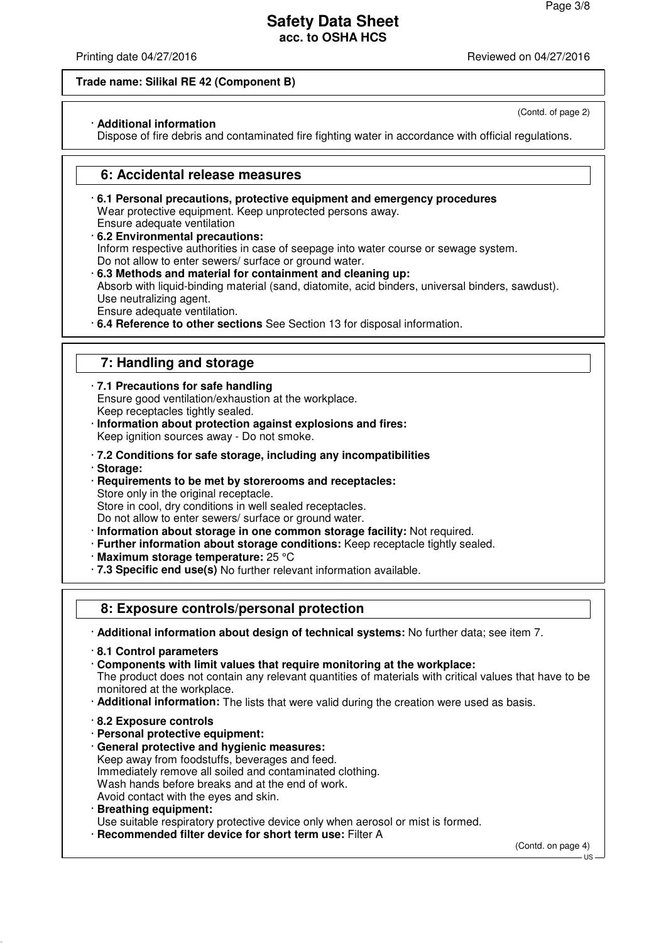(Contd. of page 2)

## **Safety Data Sheet acc. to OSHA HCS**

Printing date 04/27/2016 **Printing date 04/27/2016** Reviewed on 04/27/2016

#### **Trade name: Silikal RE 42 (Component B)**

#### · **Additional information**

Dispose of fire debris and contaminated fire fighting water in accordance with official regulations.

### **6: Accidental release measures**

- · **6.1 Personal precautions, protective equipment and emergency procedures** Wear protective equipment. Keep unprotected persons away. Ensure adequate ventilation
- · **6.2 Environmental precautions:** Inform respective authorities in case of seepage into water course or sewage system. Do not allow to enter sewers/ surface or ground water.
- · **6.3 Methods and material for containment and cleaning up:** Absorb with liquid-binding material (sand, diatomite, acid binders, universal binders, sawdust). Use neutralizing agent.

Ensure adequate ventilation.

· **6.4 Reference to other sections** See Section 13 for disposal information.

## **7: Handling and storage**

· **7.1 Precautions for safe handling** Ensure good ventilation/exhaustion at the workplace. Keep receptacles tightly sealed.

- · **Information about protection against explosions and fires:** Keep ignition sources away - Do not smoke.
- · **7.2 Conditions for safe storage, including any incompatibilities**
- · **Storage:**
- · **Requirements to be met by storerooms and receptacles:** Store only in the original receptacle. Store in cool, dry conditions in well sealed receptacles.

Do not allow to enter sewers/ surface or ground water.

- · **Information about storage in one common storage facility:** Not required.
- · **Further information about storage conditions:** Keep receptacle tightly sealed.
- · **Maximum storage temperature:** 25 °C
- · **7.3 Specific end use(s)** No further relevant information available.

## **8: Exposure controls/personal protection**

· **Additional information about design of technical systems:** No further data; see item 7.

· **8.1 Control parameters**

· **Components with limit values that require monitoring at the workplace:** The product does not contain any relevant quantities of materials with critical values that have to be monitored at the workplace.

- · **Additional information:** The lists that were valid during the creation were used as basis.
- · **8.2 Exposure controls**
- · **Personal protective equipment:**
- · **General protective and hygienic measures:** Keep away from foodstuffs, beverages and feed. Immediately remove all soiled and contaminated clothing. Wash hands before breaks and at the end of work. Avoid contact with the eyes and skin.
- · **Breathing equipment:**

Use suitable respiratory protective device only when aerosol or mist is formed.

· **Recommended filter device for short term use:** Filter A

(Contd. on page 4)

### $H<sub>S</sub>$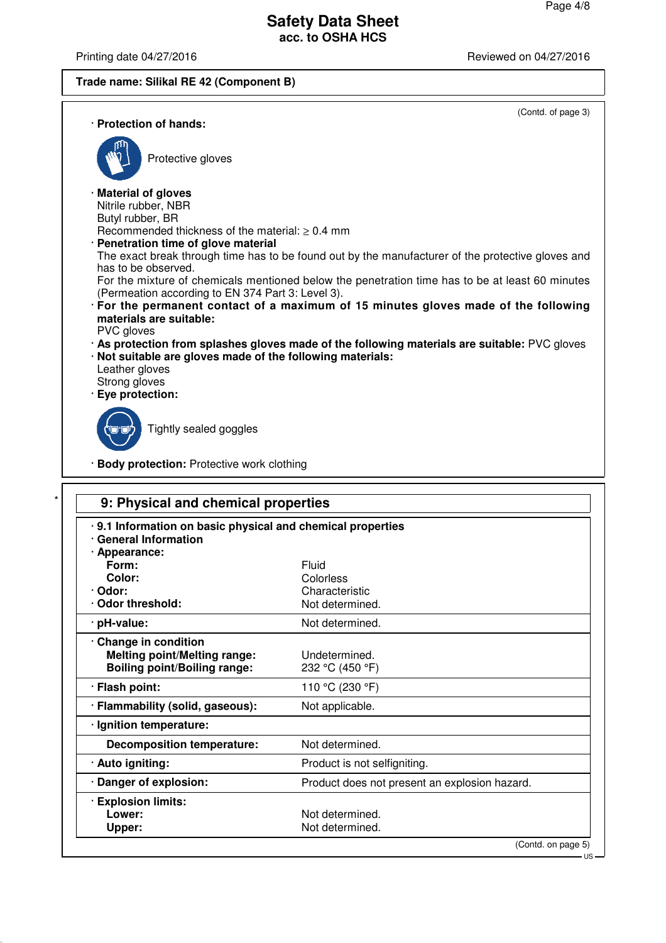Printing date 04/27/2016 **Printing date 04/27/2016** 

## **Trade name: Silikal RE 42 (Component B)**

(Contd. of page 3)

US

| · Protection of hands:                                          |                                                                                           |                                                                                                     |
|-----------------------------------------------------------------|-------------------------------------------------------------------------------------------|-----------------------------------------------------------------------------------------------------|
|                                                                 | Protective gloves                                                                         |                                                                                                     |
| · Material of gloves<br>Nitrile rubber, NBR<br>Butyl rubber, BR | Recommended thickness of the material: $> 0.4$ mm<br>· Penetration time of glove material |                                                                                                     |
| has to be observed.                                             |                                                                                           | The exact break through time has to be found out by the manufacturer of the protective gloves and   |
|                                                                 | (Permeation according to EN 374 Part 3: Level 3).                                         | For the mixture of chemicals mentioned below the penetration time has to be at least 60 minutes     |
| materials are suitable:<br>PVC gloves                           |                                                                                           | · For the permanent contact of a maximum of 15 minutes gloves made of the following                 |
| Leather gloves                                                  | · Not suitable are gloves made of the following materials:                                | $\cdot$ As protection from splashes gloves made of the following materials are suitable: PVC gloves |
| Strong gloves<br>· Eye protection:                              |                                                                                           |                                                                                                     |
|                                                                 | Tightly sealed goggles                                                                    |                                                                                                     |
|                                                                 | · Body protection: Protective work clothing                                               |                                                                                                     |

| .9.1 Information on basic physical and chemical properties<br><b>General Information</b> |                                               |
|------------------------------------------------------------------------------------------|-----------------------------------------------|
| · Appearance:                                                                            |                                               |
| Form:                                                                                    | Fluid                                         |
| Color:                                                                                   | Colorless                                     |
| · Odor:                                                                                  | Characteristic                                |
| Odor threshold:                                                                          | Not determined.                               |
| · pH-value:                                                                              | Not determined.                               |
| Change in condition                                                                      |                                               |
| <b>Melting point/Melting range:</b>                                                      | Undetermined.                                 |
| <b>Boiling point/Boiling range:</b>                                                      | 232 °C (450 °F)                               |
| · Flash point:                                                                           | 110 °C (230 °F)                               |
| · Flammability (solid, gaseous):                                                         | Not applicable.                               |
| · Ignition temperature:                                                                  |                                               |
| <b>Decomposition temperature:</b>                                                        | Not determined.                               |
| · Auto igniting:                                                                         | Product is not selfigniting.                  |
| · Danger of explosion:                                                                   | Product does not present an explosion hazard. |
| <b>Explosion limits:</b>                                                                 |                                               |
| Lower:                                                                                   | Not determined.                               |
| Upper:                                                                                   | Not determined.                               |
|                                                                                          | (Contd. on page 5)                            |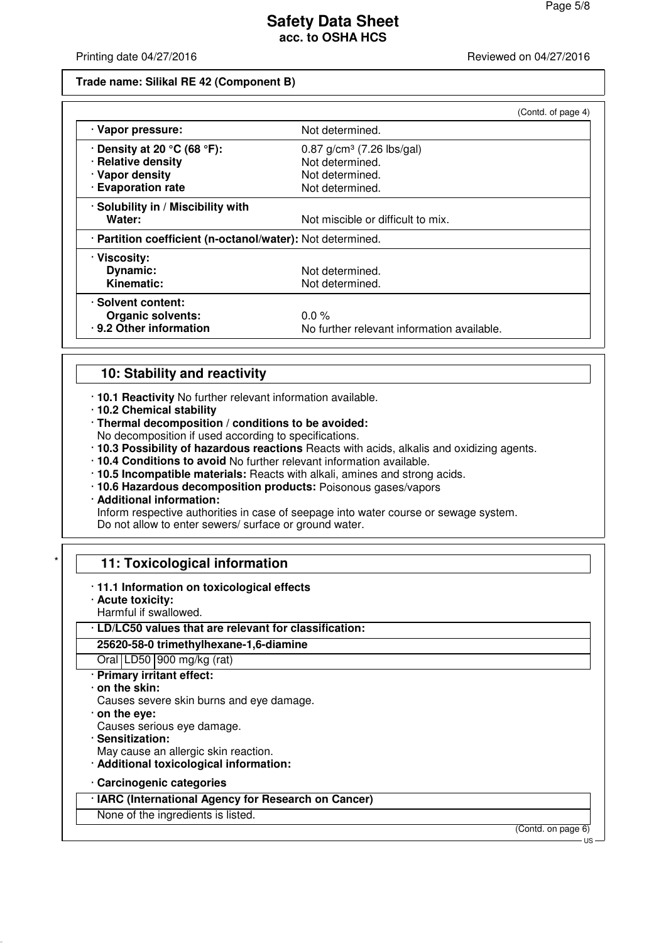Printing date 04/27/2016 **Printing date 04/27/2016** Reviewed on 04/27/2016

#### **Trade name: Silikal RE 42 (Component B)**

|                                                            |                                            | (Contd. of page 4) |
|------------------------------------------------------------|--------------------------------------------|--------------------|
| · Vapor pressure:                                          | Not determined.                            |                    |
| $\cdot$ Density at 20 °C (68 °F):                          | $0.87$ g/cm <sup>3</sup> (7.26 lbs/gal)    |                    |
| · Relative density                                         | Not determined.                            |                    |
| · Vapor density                                            | Not determined.                            |                    |
| · Evaporation rate                                         | Not determined.                            |                    |
| · Solubility in / Miscibility with                         |                                            |                    |
| Water:                                                     | Not miscible or difficult to mix.          |                    |
| · Partition coefficient (n-octanol/water): Not determined. |                                            |                    |
| · Viscosity:                                               |                                            |                    |
| Dynamic:                                                   | Not determined.                            |                    |
| Kinematic:                                                 | Not determined.                            |                    |
| · Solvent content:                                         |                                            |                    |
| <b>Organic solvents:</b>                                   | $0.0\%$                                    |                    |
| · 9.2 Other information                                    | No further relevant information available. |                    |

## **10: Stability and reactivity**

· **10.1 Reactivity** No further relevant information available.

- · **10.2 Chemical stability**
- · **Thermal decomposition / conditions to be avoided:**

No decomposition if used according to specifications.

- · **10.3 Possibility of hazardous reactions** Reacts with acids, alkalis and oxidizing agents.
- · **10.4 Conditions to avoid** No further relevant information available.
- · **10.5 Incompatible materials:** Reacts with alkali, amines and strong acids.
- · **10.6 Hazardous decomposition products:** Poisonous gases/vapors
- · **Additional information:**

Inform respective authorities in case of seepage into water course or sewage system. Do not allow to enter sewers/ surface or ground water.

### **11: Toxicological information**

- · **11.1 Information on toxicological effects**
- · **Acute toxicity:**
- Harmful if swallowed.

## · **LD/LC50 values that are relevant for classification:**

**25620-58-0 trimethylhexane-1,6-diamine**

Oral LD50 900 mg/kg (rat)

- · **Primary irritant effect:**
- · **on the skin:**
- Causes severe skin burns and eye damage.
- · **on the eye:**
- Causes serious eye damage.
- · **Sensitization:**
- May cause an allergic skin reaction.
- · **Additional toxicological information:**
- · **Carcinogenic categories**
- · **IARC (International Agency for Research on Cancer)**

None of the ingredients is listed.

(Contd. on page 6)

US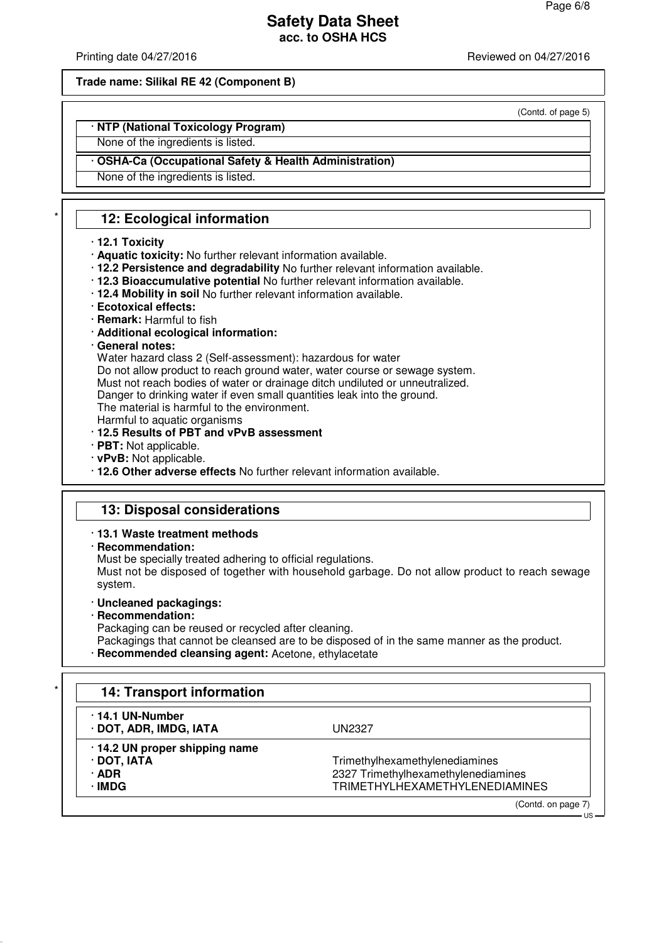(Contd. of page 5)

## **Safety Data Sheet acc. to OSHA HCS**

Printing date 04/27/2016 **Printing date 04/27/2016** Reviewed on 04/27/2016

#### **Trade name: Silikal RE 42 (Component B)**

### · **NTP (National Toxicology Program)**

None of the ingredients is listed.

### · **OSHA-Ca (Occupational Safety & Health Administration)**

None of the ingredients is listed.

## **12: Ecological information**

#### · **12.1 Toxicity**

- · **Aquatic toxicity:** No further relevant information available.
- · **12.2 Persistence and degradability** No further relevant information available.
- · **12.3 Bioaccumulative potential** No further relevant information available.
- · **12.4 Mobility in soil** No further relevant information available.
- · **Ecotoxical effects:**
- · **Remark:** Harmful to fish
- · **Additional ecological information:**
- · **General notes:**

Water hazard class 2 (Self-assessment): hazardous for water

Do not allow product to reach ground water, water course or sewage system.

Must not reach bodies of water or drainage ditch undiluted or unneutralized.

Danger to drinking water if even small quantities leak into the ground.

The material is harmful to the environment.

- Harmful to aquatic organisms
- · **12.5 Results of PBT and vPvB assessment**
- · **PBT:** Not applicable.
- · **vPvB:** Not applicable.
- · **12.6 Other adverse effects** No further relevant information available.

### **13: Disposal considerations**

- · **13.1 Waste treatment methods**
- · **Recommendation:**

Must be specially treated adhering to official regulations.

Must not be disposed of together with household garbage. Do not allow product to reach sewage system.

- · **Uncleaned packagings:**
- · **Recommendation:**

Packaging can be reused or recycled after cleaning.

Packagings that cannot be cleansed are to be disposed of in the same manner as the product. · **Recommended cleansing agent:** Acetone, ethylacetate

| 14.1 UN-Number<br>· DOT, ADR, IMDG, IATA | UN2327                                |
|------------------------------------------|---------------------------------------|
| .14.2 UN proper shipping name            |                                       |
| $\cdot$ DOT, IATA                        | Trimethylhexamethylenediamines        |
| $\cdot$ ADR                              | 2327 Trimethylhexamethylenediamines   |
| ∙IMDG                                    | <b>TRIMETHYLHEXAMETHYLENEDIAMINES</b> |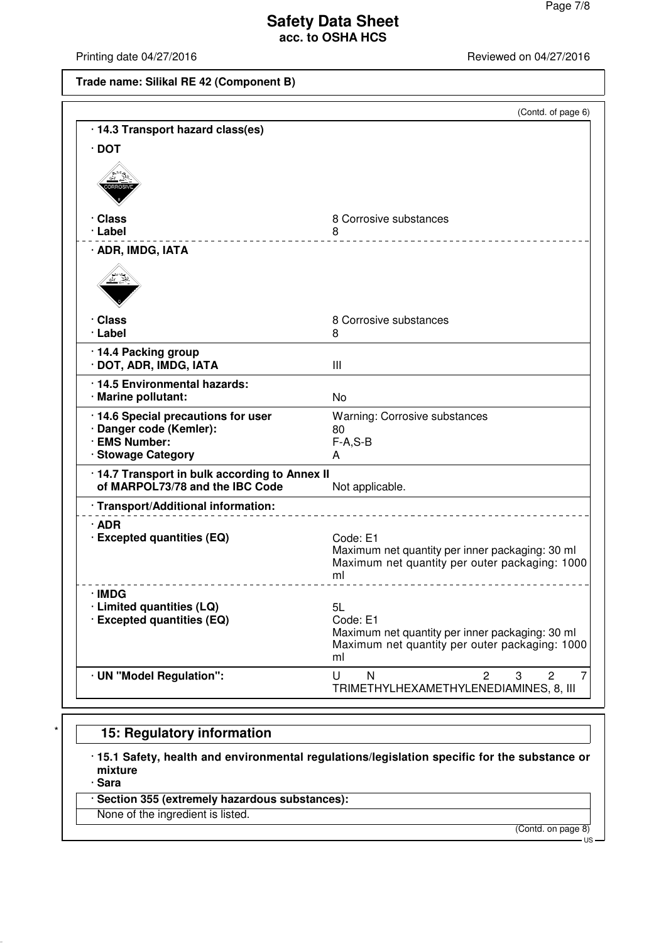Printing date 04/27/2016 **Printing date 04/27/2016** 

### **Trade name: Silikal RE 42 (Component B)**

|                                                                                                       | (Contd. of page 6)                                                                                                        |
|-------------------------------------------------------------------------------------------------------|---------------------------------------------------------------------------------------------------------------------------|
| · 14.3 Transport hazard class(es)                                                                     |                                                                                                                           |
| $\cdot$ DOT                                                                                           |                                                                                                                           |
|                                                                                                       |                                                                                                                           |
| · Class<br>· Label                                                                                    | 8 Corrosive substances<br>8                                                                                               |
| · ADR, IMDG, IATA                                                                                     |                                                                                                                           |
|                                                                                                       |                                                                                                                           |
| · Class                                                                                               | 8 Corrosive substances                                                                                                    |
| · Label                                                                                               | 8                                                                                                                         |
| · 14.4 Packing group<br>· DOT, ADR, IMDG, IATA                                                        | III                                                                                                                       |
| · 14.5 Environmental hazards:<br>· Marine pollutant:                                                  | No                                                                                                                        |
| · 14.6 Special precautions for user<br>· Danger code (Kemler):<br>· EMS Number:<br>· Stowage Category | <b>Warning: Corrosive substances</b><br>80<br>$F-A, S-B$<br>A                                                             |
| · 14.7 Transport in bulk according to Annex II<br>of MARPOL73/78 and the IBC Code                     | Not applicable.                                                                                                           |
| · Transport/Additional information:                                                                   |                                                                                                                           |
| $\cdot$ ADR<br>· Excepted quantities (EQ)                                                             | Code: E1<br>Maximum net quantity per inner packaging: 30 ml<br>Maximum net quantity per outer packaging: 1000<br>ml       |
| · IMDG                                                                                                |                                                                                                                           |
| · Limited quantities (LQ)<br>· Excepted quantities (EQ)                                               | 5L<br>Code: E1<br>Maximum net quantity per inner packaging: 30 ml<br>Maximum net quantity per outer packaging: 1000<br>ml |
| · UN "Model Regulation":                                                                              | 7<br>U<br>N<br>3<br>2<br>2<br>TRIMETHYLHEXAMETHYLENEDIAMINES, 8, III                                                      |

# **15: Regulatory information**

· **15.1 Safety, health and environmental regulations/legislation specific for the substance or mixture**

· **Sara**

· **Section 355 (extremely hazardous substances):**

None of the ingredient is listed.

(Contd. on page 8)

US